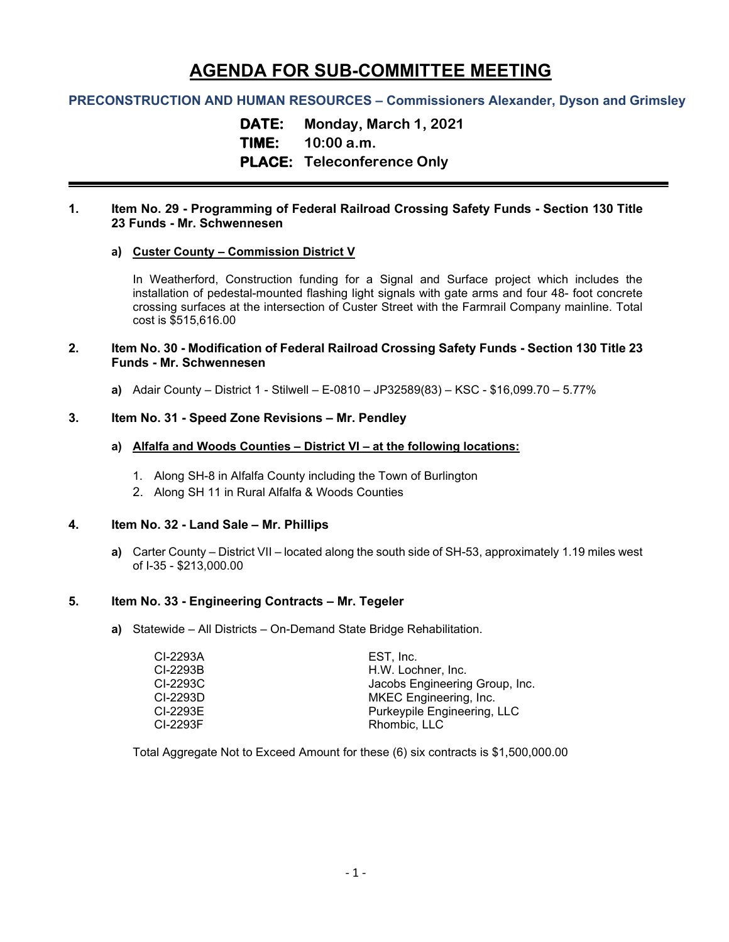# **AGENDA FOR SUB-COMMITTEE MEETING**

# **PRECONSTRUCTION AND HUMAN RESOURCES – Commissioners Alexander, Dyson and Grimsley**

**DATE: Monday, March 1, 2021 TIME: 10:00 a.m. PLACE: Teleconference Only**

## **1. Item No. 29 - Programming of Federal Railroad Crossing Safety Funds - Section 130 Title 23 Funds - Mr. Schwennesen**

## **a) Custer County – Commission District V**

In Weatherford, Construction funding for a Signal and Surface project which includes the installation of pedestal-mounted flashing light signals with gate arms and four 48- foot concrete crossing surfaces at the intersection of Custer Street with the Farmrail Company mainline. Total cost is \$515,616.00

## **2. Item No. 30 - Modification of Federal Railroad Crossing Safety Funds - Section 130 Title 23 Funds - Mr. Schwennesen**

**a)** Adair County – District 1 - Stilwell – E-0810 – JP32589(83) – KSC - \$16,099.70 – 5.77%

## **3. Item No. 31 - Speed Zone Revisions – Mr. Pendley**

## **a) Alfalfa and Woods Counties – District VI – at the following locations:**

- 1. Along SH-8 in Alfalfa County including the Town of Burlington
- 2. Along SH 11 in Rural Alfalfa & Woods Counties

#### **4. Item No. 32 - Land Sale – Mr. Phillips**

**a)** Carter County – District VII – located along the south side of SH-53, approximately 1.19 miles west of I-35 - \$213,000.00

## **5. Item No. 33 - Engineering Contracts – Mr. Tegeler**

**a)** Statewide – All Districts – On-Demand State Bridge Rehabilitation.

| EST. Inc.                      |
|--------------------------------|
| H.W. Lochner, Inc.             |
| Jacobs Engineering Group, Inc. |
| MKEC Engineering, Inc.         |
| Purkeypile Engineering, LLC    |
| Rhombic, LLC                   |
|                                |

Total Aggregate Not to Exceed Amount for these (6) six contracts is \$1,500,000.00